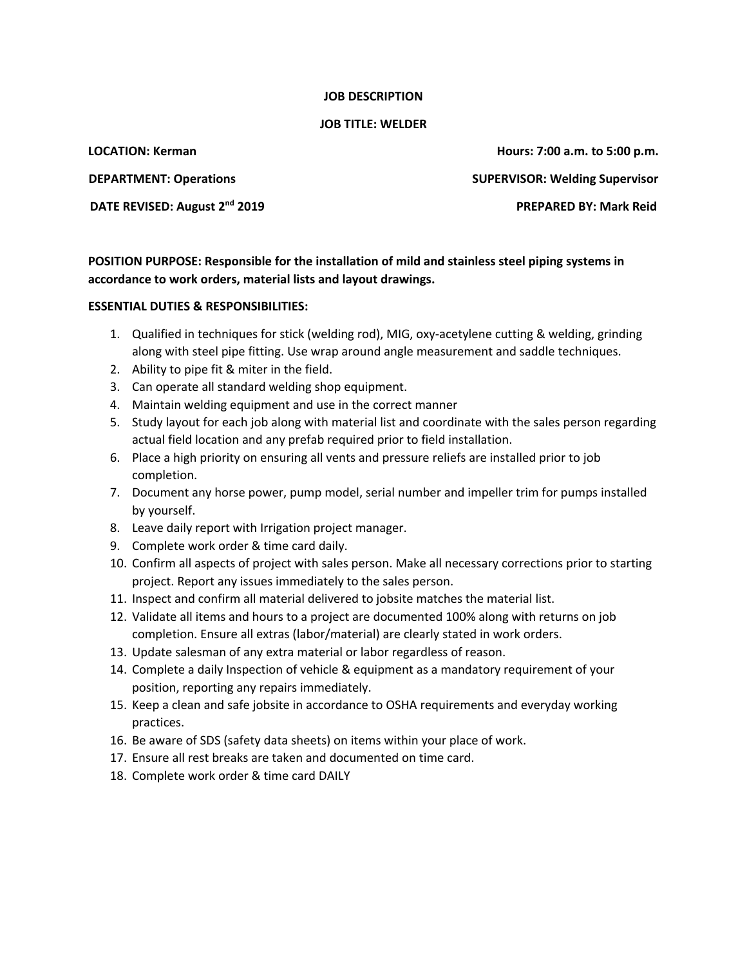## **JOB DESCRIPTION**

## **JOB TITLE: WELDER**

**LOCATION: Kerman Hours: 7:00 a.m. to 5:00 p.m. DEPARTMENT: Operations SUPERVISOR: Welding Supervisor DATE REVISED: August 2nd 2019 PREPARED BY: Mark Reid**

**POSITION PURPOSE: Responsible for the installation of mild and stainless steel piping systems in accordance to work orders, material lists and layout drawings.** 

## **ESSENTIAL DUTIES & RESPONSIBILITIES:**

- 1. Qualified in techniques for stick (welding rod), MIG, oxy-acetylene cutting & welding, grinding along with steel pipe fitting. Use wrap around angle measurement and saddle techniques.
- 2. Ability to pipe fit & miter in the field.
- 3. Can operate all standard welding shop equipment.
- 4. Maintain welding equipment and use in the correct manner
- 5. Study layout for each job along with material list and coordinate with the sales person regarding actual field location and any prefab required prior to field installation.
- 6. Place a high priority on ensuring all vents and pressure reliefs are installed prior to job completion.
- 7. Document any horse power, pump model, serial number and impeller trim for pumps installed by yourself.
- 8. Leave daily report with Irrigation project manager.
- 9. Complete work order & time card daily.
- 10. Confirm all aspects of project with sales person. Make all necessary corrections prior to starting project. Report any issues immediately to the sales person.
- 11. Inspect and confirm all material delivered to jobsite matches the material list.
- 12. Validate all items and hours to a project are documented 100% along with returns on job completion. Ensure all extras (labor/material) are clearly stated in work orders.
- 13. Update salesman of any extra material or labor regardless of reason.
- 14. Complete a daily Inspection of vehicle & equipment as a mandatory requirement of your position, reporting any repairs immediately.
- 15. Keep a clean and safe jobsite in accordance to OSHA requirements and everyday working practices.
- 16. Be aware of SDS (safety data sheets) on items within your place of work.
- 17. Ensure all rest breaks are taken and documented on time card.
- 18. Complete work order & time card DAILY